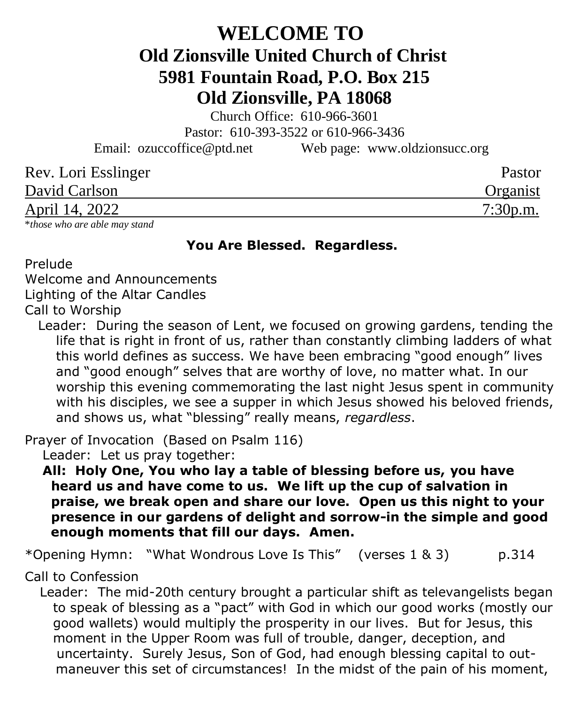# **WELCOME TO Old Zionsville United Church of Christ 5981 Fountain Road, P.O. Box 215 Old Zionsville, PA 18068**

Church Office: 610-966-3601 Pastor: 610-393-3522 or 610-966-3436

Email: ozuccoffice@ptd.net Web page: [www.ol](http://www.uccwebsites.net/oldzionsvilleuccpa.html)dzionsucc.org

| Rev. Lori Esslinger | Pastor   |
|---------------------|----------|
| David Carlson       | Organist |
| April 14, 2022      | 7:30p.m. |

\**those who are able may stand*

#### **You Are Blessed. Regardless.**

Prelude

Welcome and Announcements

Lighting of the Altar Candles

Call to Worship

 Leader: During the season of Lent, we focused on growing gardens, tending the life that is right in front of us, rather than constantly climbing ladders of what this world defines as success. We have been embracing "good enough" lives and "good enough" selves that are worthy of love, no matter what. In our worship this evening commemorating the last night Jesus spent in community with his disciples, we see a supper in which Jesus showed his beloved friends, and shows us, what "blessing" really means, *regardless*.

Prayer of Invocation (Based on Psalm 116)

Leader: Let us pray together:

 **All: Holy One, You who lay a table of blessing before us, you have heard us and have come to us. We lift up the cup of salvation in praise, we break open and share our love. Open us this night to your presence in our gardens of delight and sorrow-in the simple and good enough moments that fill our days. Amen.**

\*Opening Hymn: "What Wondrous Love Is This" (verses 1 & 3) p.314

Call to Confession

Leader: The mid-20th century brought a particular shift as televangelists began to speak of blessing as a "pact" with God in which our good works (mostly our good wallets) would multiply the prosperity in our lives. But for Jesus, this moment in the Upper Room was full of trouble, danger, deception, and uncertainty. Surely Jesus, Son of God, had enough blessing capital to out maneuver this set of circumstances! In the midst of the pain of his moment,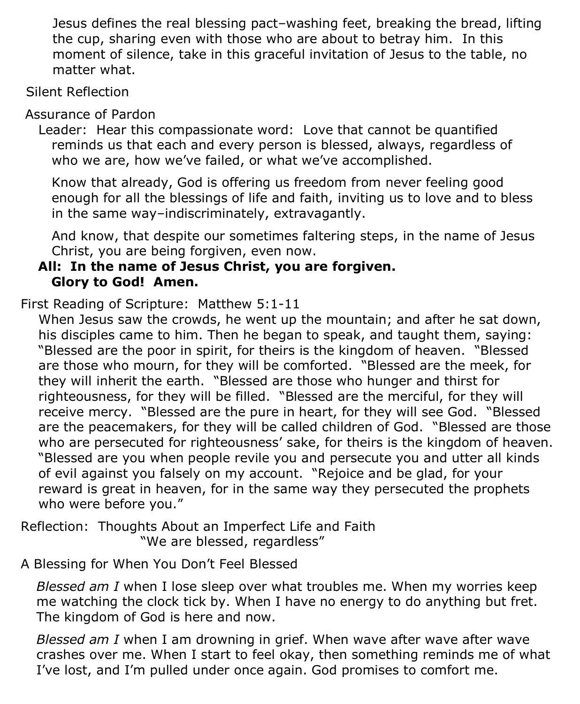Jesus defines the real blessing pact–washing feet, breaking the bread, lifting the cup, sharing even with those who are about to betray him. In this moment of silence, take in this graceful invitation of Jesus to the table, no matter what.

Silent Reflection

# Assurance of Pardon

 Leader: Hear this compassionate word: Love that cannot be quantified reminds us that each and every person is blessed, always, regardless of who we are, how we've failed, or what we've accomplished.

 Know that already, God is offering us freedom from never feeling good enough for all the blessings of life and faith, inviting us to love and to bless in the same way–indiscriminately, extravagantly.

 And know, that despite our sometimes faltering steps, in the name of Jesus Christ, you are being forgiven, even now.

## **All: In the name of Jesus Christ, you are forgiven. Glory to God! Amen.**

First Reading of Scripture: Matthew 5:1-11

When Jesus saw the crowds, he went up the mountain; and after he sat down, his disciples came to him. Then he began to speak, and taught them, saying: "Blessed are the poor in spirit, for theirs is the kingdom of heaven. "Blessed are those who mourn, for they will be comforted. "Blessed are the meek, for they will inherit the earth. "Blessed are those who hunger and thirst for righteousness, for they will be filled. "Blessed are the merciful, for they will receive mercy. "Blessed are the pure in heart, for they will see God. "Blessed are the peacemakers, for they will be called children of God. "Blessed are those who are persecuted for righteousness' sake, for theirs is the kingdom of heaven. "Blessed are you when people revile you and persecute you and utter all kinds of evil against you falsely on my account. "Rejoice and be glad, for your reward is great in heaven, for in the same way they persecuted the prophets who were before you."

Reflection: Thoughts About an Imperfect Life and Faith "We are blessed, regardless"

# A Blessing for When You Don't Feel Blessed

*Blessed am I* when I lose sleep over what troubles me. When my worries keep me watching the clock tick by. When I have no energy to do anything but fret. The kingdom of God is here and now.

*Blessed am I* when I am drowning in grief. When wave after wave after wave crashes over me. When I start to feel okay, then something reminds me of what I've lost, and I'm pulled under once again. God promises to comfort me.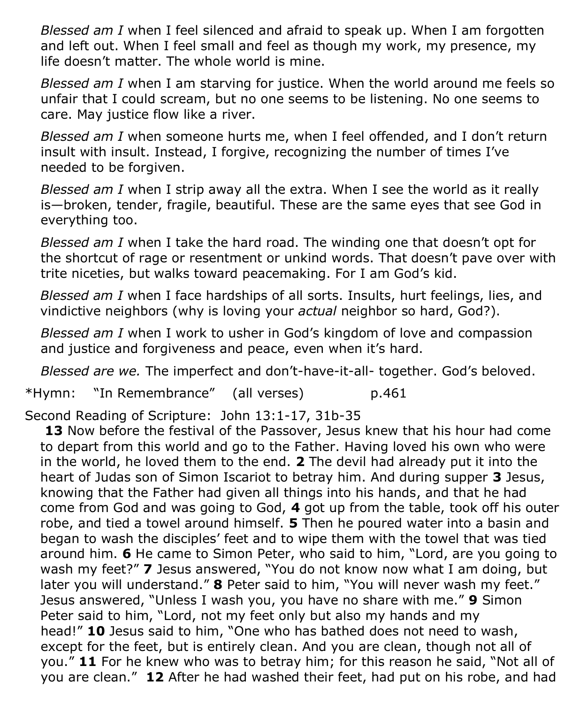*Blessed am I* when I feel silenced and afraid to speak up. When I am forgotten and left out. When I feel small and feel as though my work, my presence, my life doesn't matter. The whole world is mine.

*Blessed am I* when I am starving for justice. When the world around me feels so unfair that I could scream, but no one seems to be listening. No one seems to care. May justice flow like a river.

*Blessed am I* when someone hurts me, when I feel offended, and I don't return insult with insult. Instead, I forgive, recognizing the number of times I've needed to be forgiven.

*Blessed am I* when I strip away all the extra. When I see the world as it really is—broken, tender, fragile, beautiful. These are the same eyes that see God in everything too.

*Blessed am I* when I take the hard road. The winding one that doesn't opt for the shortcut of rage or resentment or unkind words. That doesn't pave over with trite niceties, but walks toward peacemaking. For I am God's kid.

*Blessed am I* when I face hardships of all sorts. Insults, hurt feelings, lies, and vindictive neighbors (why is loving your *actual* neighbor so hard, God?).

*Blessed am I* when I work to usher in God's kingdom of love and compassion and justice and forgiveness and peace, even when it's hard.

*Blessed are we.* The imperfect and don't-have-it-all- together. God's beloved.

\*Hymn: "In Remembrance" (all verses) p.461

Second Reading of Scripture: John 13:1-17, 31b-35

**13** Now before the festival of the Passover, Jesus knew that his hour had come to depart from this world and go to the Father. Having loved his own who were in the world, he loved them to the end. **2** The devil had already put it into the heart of Judas son of Simon Iscariot to betray him. And during supper **3** Jesus, knowing that the Father had given all things into his hands, and that he had come from God and was going to God, **4** got up from the table, took off his outer robe, and tied a towel around himself. **5** Then he poured water into a basin and began to wash the disciples' feet and to wipe them with the towel that was tied around him. **6** He came to Simon Peter, who said to him, "Lord, are you going to wash my feet?" **7** Jesus answered, "You do not know now what I am doing, but later you will understand." **8** Peter said to him, "You will never wash my feet." Jesus answered, "Unless I wash you, you have no share with me." **9** Simon Peter said to him, "Lord, not my feet only but also my hands and my head!" **10** Jesus said to him, "One who has bathed does not need to wash, except for the feet, but is entirely clean. And you are clean, though not all of you." **11** For he knew who was to betray him; for this reason he said, "Not all of you are clean." **12** After he had washed their feet, had put on his robe, and had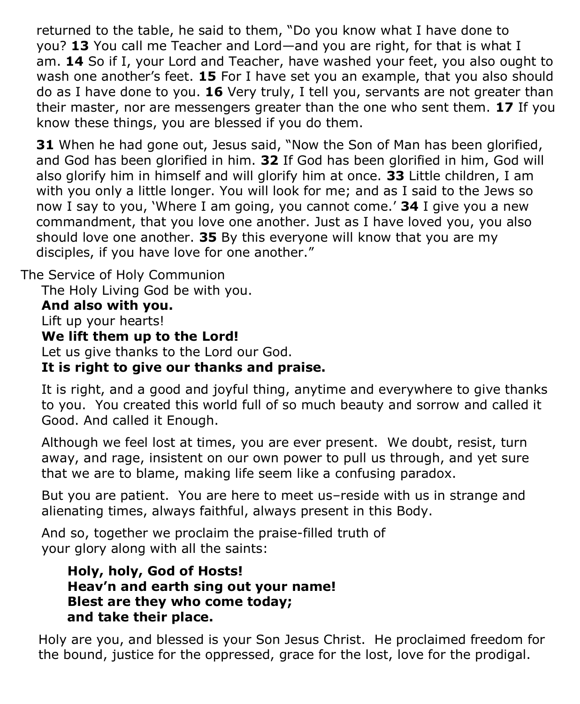returned to the table, he said to them, "Do you know what I have done to you? **13** You call me Teacher and Lord—and you are right, for that is what I am. **14** So if I, your Lord and Teacher, have washed your feet, you also ought to wash one another's feet. **15** For I have set you an example, that you also should do as I have done to you. **16** Very truly, I tell you, servants are not greater than their master, nor are messengers greater than the one who sent them. **17** If you know these things, you are blessed if you do them.

**31** When he had gone out, Jesus said, "Now the Son of Man has been glorified, and God has been glorified in him. **32** If God has been glorified in him, God will also glorify him in himself and will glorify him at once. **33** Little children, I am with you only a little longer. You will look for me; and as I said to the Jews so now I say to you, 'Where I am going, you cannot come.' **34** I give you a new commandment, that you love one another. Just as I have loved you, you also should love one another. **35** By this everyone will know that you are my disciples, if you have love for one another."

The Service of Holy Communion

The Holy Living God be with you.

### **And also with you.**

Lift up your hearts!

#### **We lift them up to the Lord!**

Let us give thanks to the Lord our God.

## **It is right to give our thanks and praise.**

It is right, and a good and joyful thing, anytime and everywhere to give thanks to you. You created this world full of so much beauty and sorrow and called it Good. And called it Enough.

Although we feel lost at times, you are ever present. We doubt, resist, turn away, and rage, insistent on our own power to pull us through, and yet sure that we are to blame, making life seem like a confusing paradox.

But you are patient. You are here to meet us–reside with us in strange and alienating times, always faithful, always present in this Body.

And so, together we proclaim the praise-filled truth of your glory along with all the saints:

#### **Holy, holy, God of Hosts! Heav'n and earth sing out your name! Blest are they who come today; and take their place.**

 Holy are you, and blessed is your Son Jesus Christ. He proclaimed freedom for the bound, justice for the oppressed, grace for the lost, love for the prodigal.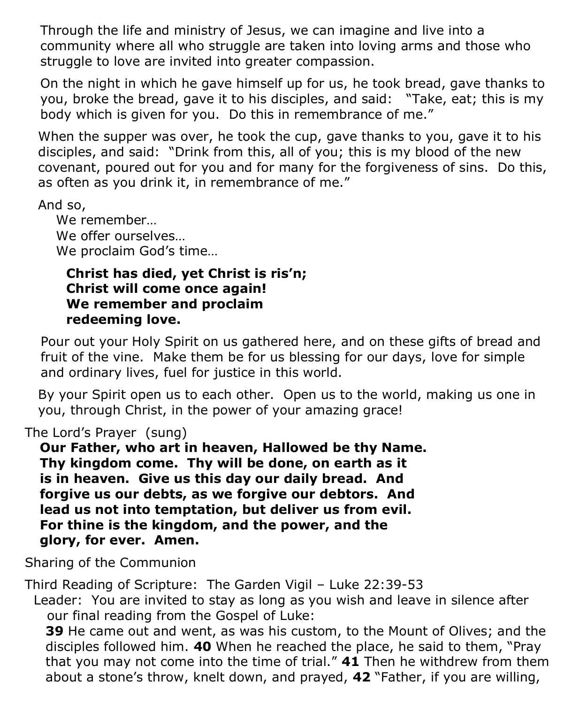Through the life and ministry of Jesus, we can imagine and live into a community where all who struggle are taken into loving arms and those who struggle to love are invited into greater compassion.

On the night in which he gave himself up for us, he took bread, gave thanks to you, broke the bread, gave it to his disciples, and said: "Take, eat; this is my body which is given for you. Do this in remembrance of me."

 When the supper was over, he took the cup, gave thanks to you, gave it to his disciples, and said: "Drink from this, all of you; this is my blood of the new covenant, poured out for you and for many for the forgiveness of sins. Do this, as often as you drink it, in remembrance of me."

And so,

We remember… We offer ourselves… We proclaim God's time…

#### **Christ has died, yet Christ is ris'n; Christ will come once again! We remember and proclaim redeeming love.**

Pour out your Holy Spirit on us gathered here, and on these gifts of bread and fruit of the vine. Make them be for us blessing for our days, love for simple and ordinary lives, fuel for justice in this world.

 By your Spirit open us to each other. Open us to the world, making us one in you, through Christ, in the power of your amazing grace!

The Lord's Prayer (sung)

**Our Father, who art in heaven, Hallowed be thy Name. Thy kingdom come. Thy will be done, on earth as it is in heaven. Give us this day our daily bread. And forgive us our debts, as we forgive our debtors. And lead us not into temptation, but deliver us from evil. For thine is the kingdom, and the power, and the glory, for ever. Amen.**

Sharing of the Communion

Third Reading of Scripture: The Garden Vigil – Luke 22:39-53

 Leader: You are invited to stay as long as you wish and leave in silence after our final reading from the Gospel of Luke:

**39** He came out and went, as was his custom, to the Mount of Olives; and the disciples followed him. **40** When he reached the place, he said to them, "Pray that you may not come into the time of trial." **41** Then he withdrew from them about a stone's throw, knelt down, and prayed, **42** "Father, if you are willing,